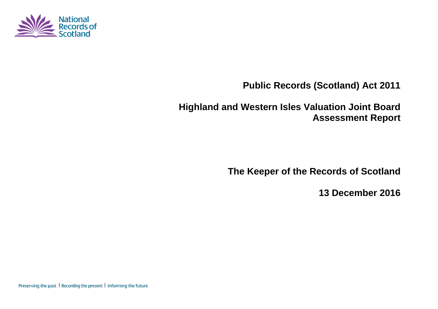

# **Public Records (Scotland) Act 2011**

# **Highland and Western Isles Valuation Joint Board Assessment Report**

**The Keeper of the Records of Scotland**

**13 December 2016**

Preserving the past | Recording the present | Informing the future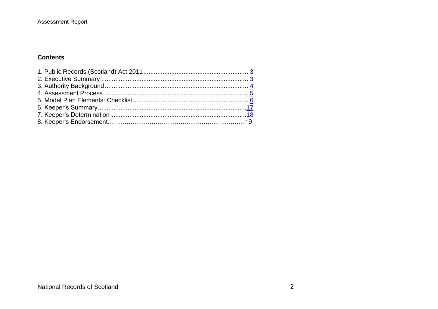### **Assessment Report**

### **Contents**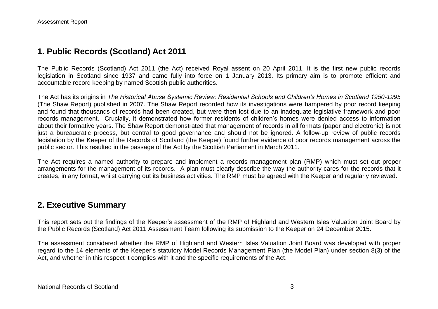## **1. Public Records (Scotland) Act 2011**

The Public Records (Scotland) Act 2011 (the Act) received Royal assent on 20 April 2011. It is the first new public records legislation in Scotland since 1937 and came fully into force on 1 January 2013. Its primary aim is to promote efficient and accountable record keeping by named Scottish public authorities.

The Act has its origins in *The Historical Abuse Systemic Review: Residential Schools and Children's Homes in Scotland 1950-1995* (The Shaw Report) published in 2007. The Shaw Report recorded how its investigations were hampered by poor record keeping and found that thousands of records had been created, but were then lost due to an inadequate legislative framework and poor records management. Crucially, it demonstrated how former residents of children's homes were denied access to information about their formative years. The Shaw Report demonstrated that management of records in all formats (paper and electronic) is not just a bureaucratic process, but central to good governance and should not be ignored. A follow-up review of public records legislation by the Keeper of the Records of Scotland (the Keeper) found further evidence of poor records management across the public sector. This resulted in the passage of the Act by the Scottish Parliament in March 2011.

The Act requires a named authority to prepare and implement a records management plan (RMP) which must set out proper arrangements for the management of its records. A plan must clearly describe the way the authority cares for the records that it creates, in any format, whilst carrying out its business activities. The RMP must be agreed with the Keeper and regularly reviewed.

## **2. Executive Summary**

This report sets out the findings of the Keeper's assessment of the RMP of Highland and Western Isles Valuation Joint Board by the Public Records (Scotland) Act 2011 Assessment Team following its submission to the Keeper on 24 December 2015*.*

The assessment considered whether the RMP of Highland and Western Isles Valuation Joint Board was developed with proper regard to the 14 elements of the Keeper's statutory Model Records Management Plan (the Model Plan) under section 8(3) of the Act, and whether in this respect it complies with it and the specific requirements of the Act.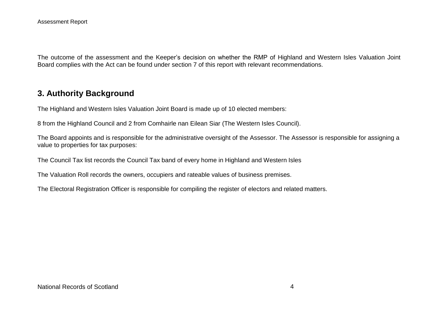The outcome of the assessment and the Keeper's decision on whether the RMP of Highland and Western Isles Valuation Joint Board complies with the Act can be found under section 7 of this report with relevant recommendations.

## **3. Authority Background**

The Highland and Western Isles Valuation Joint Board is made up of 10 elected members:

8 from the Highland Council and 2 from Comhairle nan Eilean Siar (The Western Isles Council).

The Board appoints and is responsible for the administrative oversight of the Assessor. The Assessor is responsible for assigning a value to properties for tax purposes:

The Council Tax list records the Council Tax band of every home in Highland and Western Isles

The Valuation Roll records the owners, occupiers and rateable values of business premises.

The Electoral Registration Officer is responsible for compiling the [register of electors](http://www.highland.gov.uk/info/20001/the_highland_and_western_isles_joint_valuation_board/507/electoral_registration) and related matters.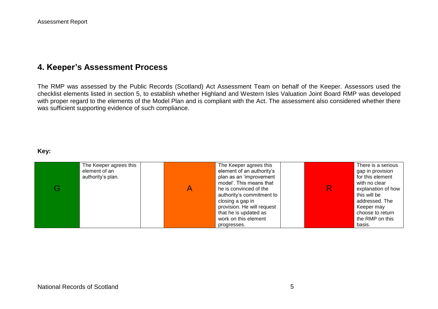## **4. Keeper's Assessment Process**

The RMP was assessed by the Public Records (Scotland) Act Assessment Team on behalf of the Keeper. Assessors used the checklist elements listed in section 5, to establish whether Highland and Western Isles Valuation Joint Board RMP was developed with proper regard to the elements of the Model Plan and is compliant with the Act. The assessment also considered whether there was sufficient supporting evidence of such compliance.

#### **Key:**

| The Keeper agrees this<br>element of an<br>authority's plan. | The Keeper agrees this<br>element of an authority's<br>plan as an 'improvement<br>model'. This means that<br>he is convinced of the<br>authority's commitment to<br>closing a gap in<br>provision. He will request | There is a serious<br>gap in provision<br>for this element<br>with no clear<br>explanation of how<br>this will be<br>addressed. The<br>Keeper may |
|--------------------------------------------------------------|--------------------------------------------------------------------------------------------------------------------------------------------------------------------------------------------------------------------|---------------------------------------------------------------------------------------------------------------------------------------------------|
|                                                              | that he is updated as                                                                                                                                                                                              | choose to return                                                                                                                                  |
|                                                              | work on this element                                                                                                                                                                                               | the RMP on this                                                                                                                                   |
|                                                              | progresses.                                                                                                                                                                                                        | basis.                                                                                                                                            |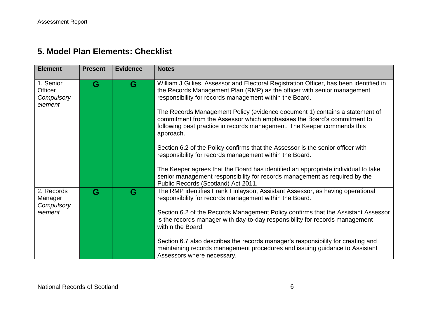## **5. Model Plan Elements: Checklist**

| <b>Element</b>                                | <b>Present</b> | <b>Evidence</b> | <b>Notes</b>                                                                                                                                                                                                                                   |
|-----------------------------------------------|----------------|-----------------|------------------------------------------------------------------------------------------------------------------------------------------------------------------------------------------------------------------------------------------------|
| 1. Senior<br>Officer<br>Compulsory<br>element | G              | G               | William J Gillies, Assessor and Electoral Registration Officer, has been identified in<br>the Records Management Plan (RMP) as the officer with senior management<br>responsibility for records management within the Board.                   |
|                                               |                |                 | The Records Management Policy (evidence document 1) contains a statement of<br>commitment from the Assessor which emphasises the Board's commitment to<br>following best practice in records management. The Keeper commends this<br>approach. |
|                                               |                |                 | Section 6.2 of the Policy confirms that the Assessor is the senior officer with<br>responsibility for records management within the Board.                                                                                                     |
|                                               |                |                 | The Keeper agrees that the Board has identified an appropriate individual to take<br>senior management responsibility for records management as required by the<br>Public Records (Scotland) Act 2011.                                         |
| 2. Records<br>Manager<br>Compulsory           | G              | G               | The RMP identifies Frank Finlayson, Assistant Assessor, as having operational<br>responsibility for records management within the Board.                                                                                                       |
| element                                       |                |                 | Section 6.2 of the Records Management Policy confirms that the Assistant Assessor<br>is the records manager with day-to-day responsibility for records management<br>within the Board.                                                         |
|                                               |                |                 | Section 6.7 also describes the records manager's responsibility for creating and<br>maintaining records management procedures and issuing guidance to Assistant<br>Assessors where necessary.                                                  |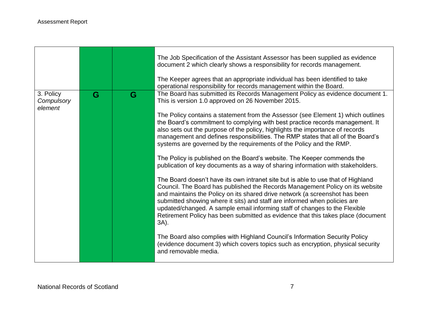|                                    |   |   | The Job Specification of the Assistant Assessor has been supplied as evidence<br>document 2 which clearly shows a responsibility for records management.<br>The Keeper agrees that an appropriate individual has been identified to take<br>operational responsibility for records management within the Board.                                                                                                                                                                                                                                                                                                                                                                                                                                                                                                                                                                                                                                                                                                                                                                                                                                                                                                                                                                                                                                                                                                       |
|------------------------------------|---|---|-----------------------------------------------------------------------------------------------------------------------------------------------------------------------------------------------------------------------------------------------------------------------------------------------------------------------------------------------------------------------------------------------------------------------------------------------------------------------------------------------------------------------------------------------------------------------------------------------------------------------------------------------------------------------------------------------------------------------------------------------------------------------------------------------------------------------------------------------------------------------------------------------------------------------------------------------------------------------------------------------------------------------------------------------------------------------------------------------------------------------------------------------------------------------------------------------------------------------------------------------------------------------------------------------------------------------------------------------------------------------------------------------------------------------|
| 3. Policy<br>Compulsory<br>element | G | G | The Board has submitted its Records Management Policy as evidence document 1.<br>This is version 1.0 approved on 26 November 2015.<br>The Policy contains a statement from the Assessor (see Element 1) which outlines<br>the Board's commitment to complying with best practice records management. It<br>also sets out the purpose of the policy, highlights the importance of records<br>management and defines responsibilities. The RMP states that all of the Board's<br>systems are governed by the requirements of the Policy and the RMP.<br>The Policy is published on the Board's website. The Keeper commends the<br>publication of key documents as a way of sharing information with stakeholders.<br>The Board doesn't have its own intranet site but is able to use that of Highland<br>Council. The Board has published the Records Management Policy on its website<br>and maintains the Policy on its shared drive network (a screenshot has been<br>submitted showing where it sits) and staff are informed when policies are<br>updated/changed. A sample email informing staff of changes to the Flexible<br>Retirement Policy has been submitted as evidence that this takes place (document<br>3A).<br>The Board also complies with Highland Council's Information Security Policy<br>(evidence document 3) which covers topics such as encryption, physical security<br>and removable media. |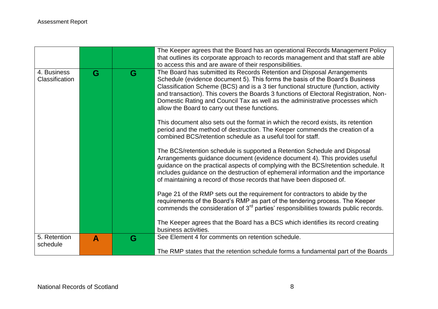|                               |                  |   | The Keeper agrees that the Board has an operational Records Management Policy<br>that outlines its corporate approach to records management and that staff are able<br>to access this and are aware of their responsibilities.                                                                                                                                                                                                                                            |
|-------------------------------|------------------|---|---------------------------------------------------------------------------------------------------------------------------------------------------------------------------------------------------------------------------------------------------------------------------------------------------------------------------------------------------------------------------------------------------------------------------------------------------------------------------|
| 4. Business<br>Classification | G                | G | The Board has submitted its Records Retention and Disposal Arrangements<br>Schedule (evidence document 5). This forms the basis of the Board's Business<br>Classification Scheme (BCS) and is a 3 tier functional structure (function, activity<br>and transaction). This covers the Boards 3 functions of Electoral Registration, Non-<br>Domestic Rating and Council Tax as well as the administrative processes which<br>allow the Board to carry out these functions. |
|                               |                  |   | This document also sets out the format in which the record exists, its retention<br>period and the method of destruction. The Keeper commends the creation of a<br>combined BCS/retention schedule as a useful tool for staff.                                                                                                                                                                                                                                            |
|                               |                  |   | The BCS/retention schedule is supported a Retention Schedule and Disposal<br>Arrangements guidance document (evidence document 4). This provides useful<br>guidance on the practical aspects of complying with the BCS/retention schedule. It<br>includes guidance on the destruction of ephemeral information and the importance<br>of maintaining a record of those records that have been disposed of.                                                                 |
|                               |                  |   | Page 21 of the RMP sets out the requirement for contractors to abide by the<br>requirements of the Board's RMP as part of the tendering process. The Keeper<br>commends the consideration of 3 <sup>rd</sup> parties' responsibilities towards public records.                                                                                                                                                                                                            |
|                               |                  |   | The Keeper agrees that the Board has a BCS which identifies its record creating<br>business activities.                                                                                                                                                                                                                                                                                                                                                                   |
| 5. Retention<br>schedule      | $\blacktriangle$ | G | See Element 4 for comments on retention schedule.                                                                                                                                                                                                                                                                                                                                                                                                                         |
|                               |                  |   | The RMP states that the retention schedule forms a fundamental part of the Boards                                                                                                                                                                                                                                                                                                                                                                                         |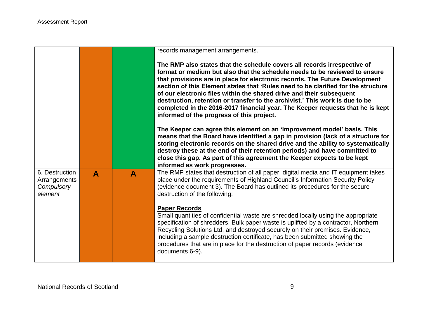|                                                         |                  |              | records management arrangements.                                                                                                                                                                                                                                                                                                                                                                                                                                                                                                                                                                                  |
|---------------------------------------------------------|------------------|--------------|-------------------------------------------------------------------------------------------------------------------------------------------------------------------------------------------------------------------------------------------------------------------------------------------------------------------------------------------------------------------------------------------------------------------------------------------------------------------------------------------------------------------------------------------------------------------------------------------------------------------|
|                                                         |                  |              | The RMP also states that the schedule covers all records irrespective of<br>format or medium but also that the schedule needs to be reviewed to ensure<br>that provisions are in place for electronic records. The Future Development<br>section of this Element states that 'Rules need to be clarified for the structure<br>of our electronic files within the shared drive and their subsequent<br>destruction, retention or transfer to the archivist.' This work is due to be<br>completed in the 2016-2017 financial year. The Keeper requests that he is kept<br>informed of the progress of this project. |
|                                                         |                  |              | The Keeper can agree this element on an 'improvement model' basis. This<br>means that the Board have identified a gap in provision (lack of a structure for<br>storing electronic records on the shared drive and the ability to systematically<br>destroy these at the end of their retention periods) and have committed to<br>close this gap. As part of this agreement the Keeper expects to be kept<br>informed as work progresses.                                                                                                                                                                          |
| 6. Destruction<br>Arrangements<br>Compulsory<br>element | $\blacktriangle$ | $\mathbf{A}$ | The RMP states that destruction of all paper, digital media and IT equipment takes<br>place under the requirements of Highland Council's Information Security Policy<br>(evidence document 3). The Board has outlined its procedures for the secure<br>destruction of the following:                                                                                                                                                                                                                                                                                                                              |
|                                                         |                  |              | <b>Paper Records</b><br>Small quantities of confidential waste are shredded locally using the appropriate<br>specification of shredders. Bulk paper waste is uplifted by a contractor, Northern<br>Recycling Solutions Ltd, and destroyed securely on their premises. Evidence,<br>including a sample destruction certificate, has been submitted showing the<br>procedures that are in place for the destruction of paper records (evidence<br>documents 6-9).                                                                                                                                                   |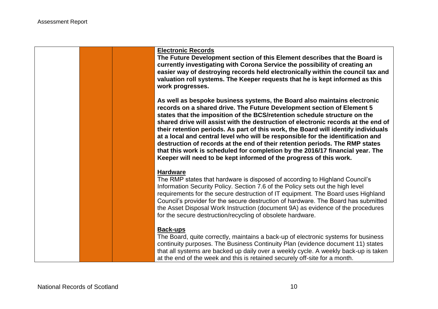**Electronic Records**

**The Future Development section of this Element describes that the Board is currently investigating with Corona Service the possibility of creating an easier way of destroying records held electronically within the council tax and valuation roll systems. The Keeper requests that he is kept informed as this work progresses.**

**As well as bespoke business systems, the Board also maintains electronic records on a shared drive. The Future Development section of Element 5 states that the imposition of the BCS/retention schedule structure on the shared drive will assist with the destruction of electronic records at the end of their retention periods. As part of this work, the Board will identify individuals at a local and central level who will be responsible for the identification and destruction of records at the end of their retention periods. The RMP states that this work is scheduled for completion by the 2016/17 financial year. The Keeper will need to be kept informed of the progress of this work.**

#### **Hardware**

The RMP states that hardware is disposed of according to Highland Council's Information Security Policy. Section 7.6 of the Policy sets out the high level requirements for the secure destruction of IT equipment. The Board uses Highland Council's provider for the secure destruction of hardware. The Board has submitted the Asset Disposal Work Instruction (document 9A) as evidence of the procedures for the secure destruction/recycling of obsolete hardware.

#### **Back-ups**

The Board, quite correctly, maintains a back-up of electronic systems for business continuity purposes. The Business Continuity Plan (evidence document 11) states that all systems are backed up daily over a weekly cycle. A weekly back-up is taken at the end of the week and this is retained securely off-site for a month.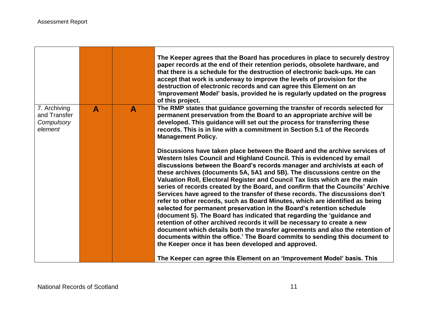|                                                       |   |              | The Keeper agrees that the Board has procedures in place to securely destroy<br>paper records at the end of their retention periods, obsolete hardware, and<br>that there is a schedule for the destruction of electronic back-ups. He can<br>accept that work is underway to improve the levels of provision for the<br>destruction of electronic records and can agree this Element on an<br>'Improvement Model' basis, provided he is regularly updated on the progress<br>of this project.                                                                                                                                                                                                                                                                                                                                                                                                                                                                                                                                                                                                                                                                                  |
|-------------------------------------------------------|---|--------------|---------------------------------------------------------------------------------------------------------------------------------------------------------------------------------------------------------------------------------------------------------------------------------------------------------------------------------------------------------------------------------------------------------------------------------------------------------------------------------------------------------------------------------------------------------------------------------------------------------------------------------------------------------------------------------------------------------------------------------------------------------------------------------------------------------------------------------------------------------------------------------------------------------------------------------------------------------------------------------------------------------------------------------------------------------------------------------------------------------------------------------------------------------------------------------|
| 7. Archiving<br>and Transfer<br>Compulsory<br>element | A | $\mathbf{A}$ | The RMP states that guidance governing the transfer of records selected for<br>permanent preservation from the Board to an appropriate archive will be<br>developed. This guidance will set out the process for transferring these<br>records. This is in line with a commitment in Section 5.1 of the Records<br><b>Management Policy.</b>                                                                                                                                                                                                                                                                                                                                                                                                                                                                                                                                                                                                                                                                                                                                                                                                                                     |
|                                                       |   |              | Discussions have taken place between the Board and the archive services of<br>Western Isles Council and Highland Council. This is evidenced by email<br>discussions between the Board's records manager and archivists at each of<br>these archives (documents 5A, 5A1 and 5B). The discussions centre on the<br>Valuation Roll, Electoral Register and Council Tax lists which are the main<br>series of records created by the Board, and confirm that the Councils' Archive<br>Services have agreed to the transfer of these records. The discussions don't<br>refer to other records, such as Board Minutes, which are identified as being<br>selected for permanent preservation in the Board's retention schedule<br>(document 5). The Board has indicated that regarding the 'guidance and<br>retention of other archived records it will be necessary to create a new<br>document which details both the transfer agreements and also the retention of<br>documents within the office.' The Board commits to sending this document to<br>the Keeper once it has been developed and approved.<br>The Keeper can agree this Element on an 'Improvement Model' basis. This |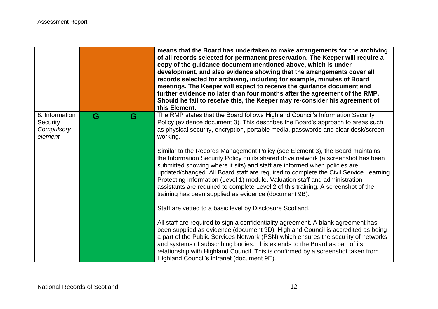|                                                     |   |   | means that the Board has undertaken to make arrangements for the archiving<br>of all records selected for permanent preservation. The Keeper will require a<br>copy of the guidance document mentioned above, which is under<br>development, and also evidence showing that the arrangements cover all<br>records selected for archiving, including for example, minutes of Board<br>meetings. The Keeper will expect to receive the guidance document and<br>further evidence no later than four months after the agreement of the RMP.<br>Should he fail to receive this, the Keeper may re-consider his agreement of<br>this Element. |
|-----------------------------------------------------|---|---|------------------------------------------------------------------------------------------------------------------------------------------------------------------------------------------------------------------------------------------------------------------------------------------------------------------------------------------------------------------------------------------------------------------------------------------------------------------------------------------------------------------------------------------------------------------------------------------------------------------------------------------|
| 8. Information<br>Security<br>Compulsory<br>element | G | G | The RMP states that the Board follows Highland Council's Information Security<br>Policy (evidence document 3). This describes the Board's approach to areas such<br>as physical security, encryption, portable media, passwords and clear desk/screen<br>working.                                                                                                                                                                                                                                                                                                                                                                        |
|                                                     |   |   | Similar to the Records Management Policy (see Element 3), the Board maintains<br>the Information Security Policy on its shared drive network (a screenshot has been<br>submitted showing where it sits) and staff are informed when policies are<br>updated/changed. All Board staff are required to complete the Civil Service Learning<br>Protecting Information (Level 1) module. Valuation staff and administration<br>assistants are required to complete Level 2 of this training. A screenshot of the<br>training has been supplied as evidence (document 9B).                                                                    |
|                                                     |   |   | Staff are vetted to a basic level by Disclosure Scotland.                                                                                                                                                                                                                                                                                                                                                                                                                                                                                                                                                                                |
|                                                     |   |   | All staff are required to sign a confidentiality agreement. A blank agreement has<br>been supplied as evidence (document 9D). Highland Council is accredited as being<br>a part of the Public Services Network (PSN) which ensures the security of networks<br>and systems of subscribing bodies. This extends to the Board as part of its<br>relationship with Highland Council. This is confirmed by a screenshot taken from<br>Highland Council's intranet (document 9E).                                                                                                                                                             |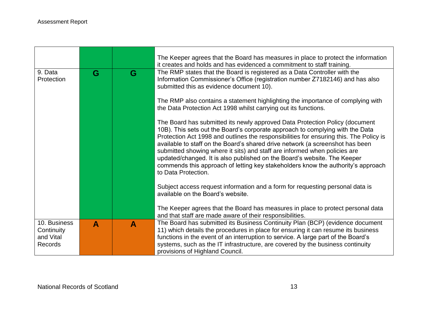|                                                           |   |   | The Keeper agrees that the Board has measures in place to protect the information<br>it creates and holds and has evidenced a commitment to staff training.                                                                                                                                                                                                                                                                                                                                                                                                                                                 |
|-----------------------------------------------------------|---|---|-------------------------------------------------------------------------------------------------------------------------------------------------------------------------------------------------------------------------------------------------------------------------------------------------------------------------------------------------------------------------------------------------------------------------------------------------------------------------------------------------------------------------------------------------------------------------------------------------------------|
| 9. Data<br>Protection                                     | G | G | The RMP states that the Board is registered as a Data Controller with the<br>Information Commissioner's Office (registration number Z7182146) and has also<br>submitted this as evidence document 10).                                                                                                                                                                                                                                                                                                                                                                                                      |
|                                                           |   |   | The RMP also contains a statement highlighting the importance of complying with<br>the Data Protection Act 1998 whilst carrying out its functions.                                                                                                                                                                                                                                                                                                                                                                                                                                                          |
|                                                           |   |   | The Board has submitted its newly approved Data Protection Policy (document<br>10B). This sets out the Board's corporate approach to complying with the Data<br>Protection Act 1998 and outlines the responsibilities for ensuring this. The Policy is<br>available to staff on the Board's shared drive network (a screenshot has been<br>submitted showing where it sits) and staff are informed when policies are<br>updated/changed. It is also published on the Board's website. The Keeper<br>commends this approach of letting key stakeholders know the authority's approach<br>to Data Protection. |
|                                                           |   |   | Subject access request information and a form for requesting personal data is<br>available on the Board's website.                                                                                                                                                                                                                                                                                                                                                                                                                                                                                          |
|                                                           |   |   | The Keeper agrees that the Board has measures in place to protect personal data<br>and that staff are made aware of their responsibilities.                                                                                                                                                                                                                                                                                                                                                                                                                                                                 |
| 10. Business<br>Continuity<br>and Vital<br><b>Records</b> | A | A | The Board has submitted its Business Continuity Plan (BCP) (evidence document<br>11) which details the procedures in place for ensuring it can resume its business<br>functions in the event of an interruption to service. A large part of the Board's<br>systems, such as the IT infrastructure, are covered by the business continuity<br>provisions of Highland Council.                                                                                                                                                                                                                                |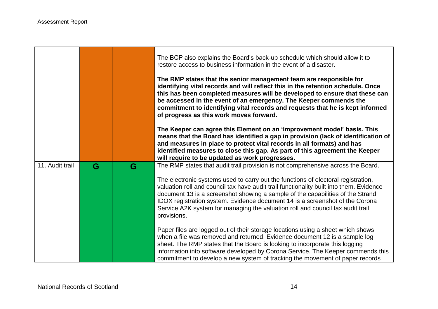$\blacksquare$ 

and the control of the control of the control of the control of the control of the control of the control of the control of the control of the control of the control of the control of the control of the control of the cont

|                 |   |   | The BCP also explains the Board's back-up schedule which should allow it to<br>restore access to business information in the event of a disaster.                                                                                                                                                                                                                                                                                               |
|-----------------|---|---|-------------------------------------------------------------------------------------------------------------------------------------------------------------------------------------------------------------------------------------------------------------------------------------------------------------------------------------------------------------------------------------------------------------------------------------------------|
|                 |   |   | The RMP states that the senior management team are responsible for<br>identifying vital records and will reflect this in the retention schedule. Once<br>this has been completed measures will be developed to ensure that these can<br>be accessed in the event of an emergency. The Keeper commends the<br>commitment to identifying vital records and requests that he is kept informed<br>of progress as this work moves forward.           |
|                 |   |   | The Keeper can agree this Element on an 'improvement model' basis. This<br>means that the Board has identified a gap in provision (lack of identification of<br>and measures in place to protect vital records in all formats) and has<br>identified measures to close this gap. As part of this agreement the Keeper<br>will require to be updated as work progresses.                                                                         |
| 11. Audit trail | G | G | The RMP states that audit trail provision is not comprehensive across the Board.                                                                                                                                                                                                                                                                                                                                                                |
|                 |   |   | The electronic systems used to carry out the functions of electoral registration,<br>valuation roll and council tax have audit trail functionality built into them. Evidence<br>document 13 is a screenshot showing a sample of the capabilities of the Strand<br>IDOX registration system. Evidence document 14 is a screenshot of the Corona<br>Service A2K system for managing the valuation roll and council tax audit trail<br>provisions. |
|                 |   |   | Paper files are logged out of their storage locations using a sheet which shows<br>when a file was removed and returned. Evidence document 12 is a sample log<br>sheet. The RMP states that the Board is looking to incorporate this logging<br>information into software developed by Corona Service. The Keeper commends this<br>commitment to develop a new system of tracking the movement of paper records                                 |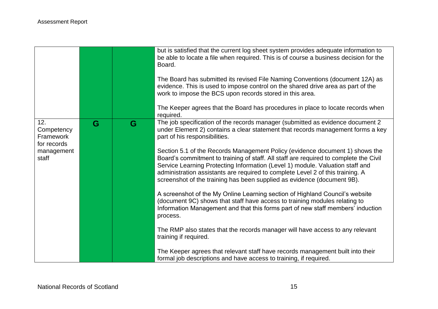|                                                                      |   |   | but is satisfied that the current log sheet system provides adequate information to<br>be able to locate a file when required. This is of course a business decision for the<br>Board.<br>The Board has submitted its revised File Naming Conventions (document 12A) as<br>evidence. This is used to impose control on the shared drive area as part of the<br>work to impose the BCS upon records stored in this area.<br>The Keeper agrees that the Board has procedures in place to locate records when<br>required.                                                                                                                                                                                                                                                                                                                                                                                                                                                                                                                                                                                                                                 |
|----------------------------------------------------------------------|---|---|---------------------------------------------------------------------------------------------------------------------------------------------------------------------------------------------------------------------------------------------------------------------------------------------------------------------------------------------------------------------------------------------------------------------------------------------------------------------------------------------------------------------------------------------------------------------------------------------------------------------------------------------------------------------------------------------------------------------------------------------------------------------------------------------------------------------------------------------------------------------------------------------------------------------------------------------------------------------------------------------------------------------------------------------------------------------------------------------------------------------------------------------------------|
| 12.<br>Competency<br>Framework<br>for records<br>management<br>staff | G | G | The job specification of the records manager (submitted as evidence document 2<br>under Element 2) contains a clear statement that records management forms a key<br>part of his responsibilities.<br>Section 5.1 of the Records Management Policy (evidence document 1) shows the<br>Board's commitment to training of staff. All staff are required to complete the Civil<br>Service Learning Protecting Information (Level 1) module. Valuation staff and<br>administration assistants are required to complete Level 2 of this training. A<br>screenshot of the training has been supplied as evidence (document 9B).<br>A screenshot of the My Online Learning section of Highland Council's website<br>(document 9C) shows that staff have access to training modules relating to<br>Information Management and that this forms part of new staff members' induction<br>process.<br>The RMP also states that the records manager will have access to any relevant<br>training if required.<br>The Keeper agrees that relevant staff have records management built into their<br>formal job descriptions and have access to training, if required. |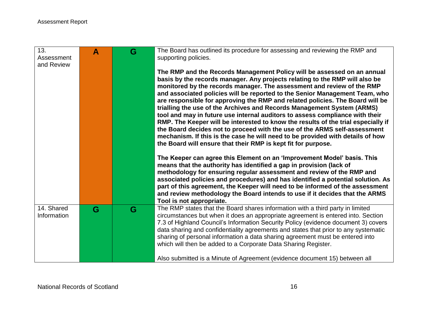| 13.<br>Assessment<br>and Review | $\blacktriangle$ | G | The Board has outlined its procedure for assessing and reviewing the RMP and<br>supporting policies.                                                                                                                                                                                                                                                                                                                             |
|---------------------------------|------------------|---|----------------------------------------------------------------------------------------------------------------------------------------------------------------------------------------------------------------------------------------------------------------------------------------------------------------------------------------------------------------------------------------------------------------------------------|
|                                 |                  |   | The RMP and the Records Management Policy will be assessed on an annual<br>basis by the records manager. Any projects relating to the RMP will also be<br>monitored by the records manager. The assessment and review of the RMP                                                                                                                                                                                                 |
|                                 |                  |   | and associated policies will be reported to the Senior Management Team, who<br>are responsible for approving the RMP and related policies. The Board will be<br>trialling the use of the Archives and Records Management System (ARMS)<br>tool and may in future use internal auditors to assess compliance with their                                                                                                           |
|                                 |                  |   | RMP. The Keeper will be interested to know the results of the trial especially if<br>the Board decides not to proceed with the use of the ARMS self-assessment<br>mechanism. If this is the case he will need to be provided with details of how<br>the Board will ensure that their RMP is kept fit for purpose.                                                                                                                |
|                                 |                  |   | The Keeper can agree this Element on an 'Improvement Model' basis. This<br>means that the authority has identified a gap in provision (lack of<br>methodology for ensuring regular assessment and review of the RMP and<br>associated policies and procedures) and has identified a potential solution. As<br>part of this agreement, the Keeper will need to be informed of the assessment                                      |
|                                 |                  |   | and review methodology the Board intends to use if it decides that the ARMS<br>Tool is not appropriate.                                                                                                                                                                                                                                                                                                                          |
| 14. Shared<br>Information       | G                | G | The RMP states that the Board shares information with a third party in limited<br>circumstances but when it does an appropriate agreement is entered into. Section<br>7.3 of Highland Council's Information Security Policy (evidence document 3) covers<br>data sharing and confidentiality agreements and states that prior to any systematic<br>sharing of personal information a data sharing agreement must be entered into |
|                                 |                  |   | which will then be added to a Corporate Data Sharing Register.<br>Also submitted is a Minute of Agreement (evidence document 15) between all                                                                                                                                                                                                                                                                                     |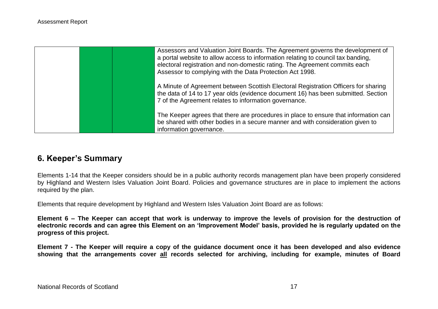|  | Assessors and Valuation Joint Boards. The Agreement governs the development of<br>a portal website to allow access to information relating to council tax banding,<br>electoral registration and non-domestic rating. The Agreement commits each<br>Assessor to complying with the Data Protection Act 1998. |
|--|--------------------------------------------------------------------------------------------------------------------------------------------------------------------------------------------------------------------------------------------------------------------------------------------------------------|
|  | A Minute of Agreement between Scottish Electoral Registration Officers for sharing<br>the data of 14 to 17 year olds (evidence document 16) has been submitted. Section<br>7 of the Agreement relates to information governance.                                                                             |
|  | The Keeper agrees that there are procedures in place to ensure that information can<br>be shared with other bodies in a secure manner and with consideration given to<br>information governance.                                                                                                             |

## **6. Keeper's Summary**

Elements 1-14 that the Keeper considers should be in a public authority records management plan have been properly considered by Highland and Western Isles Valuation Joint Board. Policies and governance structures are in place to implement the actions required by the plan.

Elements that require development by Highland and Western Isles Valuation Joint Board are as follows:

**Element 6 – The Keeper can accept that work is underway to improve the levels of provision for the destruction of electronic records and can agree this Element on an 'Improvement Model' basis, provided he is regularly updated on the progress of this project.**

**Element 7 - The Keeper will require a copy of the guidance document once it has been developed and also evidence showing that the arrangements cover all records selected for archiving, including for example, minutes of Board**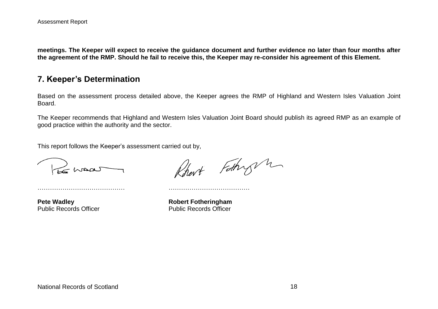**meetings. The Keeper will expect to receive the guidance document and further evidence no later than four months after the agreement of the RMP. Should he fail to receive this, the Keeper may re-consider his agreement of this Element.** 

### **7. Keeper's Determination**

Based on the assessment process detailed above, the Keeper agrees the RMP of Highland and Western Isles Valuation Joint Board.

The Keeper recommends that Highland and Western Isles Valuation Joint Board should publish its agreed RMP as an example of good practice within the authority and the sector.

This report follows the Keeper's assessment carried out by,

…………………………………… …………………………………

Le maar

**Pete Wadley <b>Robert Fotheringham** 

Rhart Fathry h

Public Records Officer **Public Records Officer**